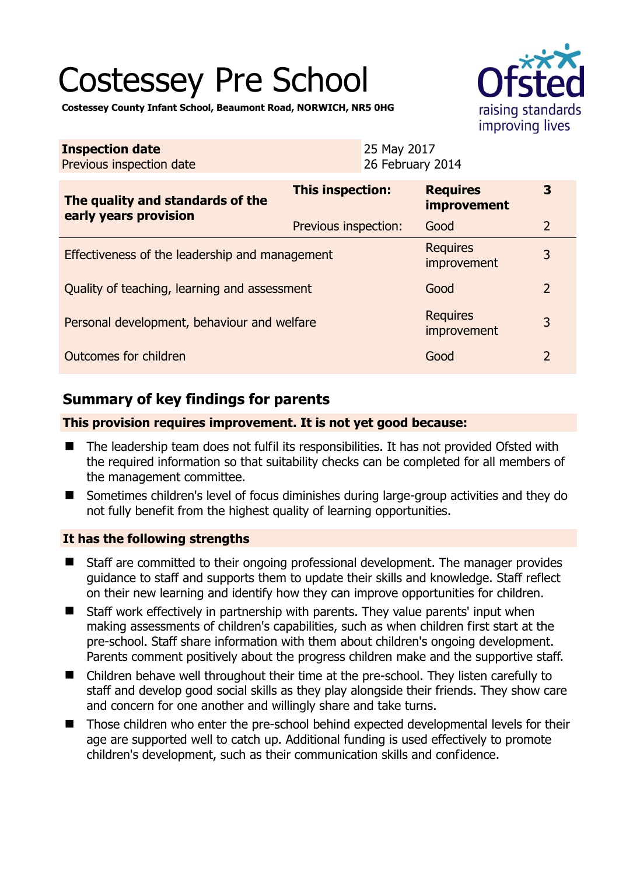# Costessey Pre School



**Costessey County Infant School, Beaumont Road, NORWICH, NR5 0HG** 

| <b>Inspection date</b><br>Previous inspection date        |                      | 25 May 2017<br>26 February 2014 |                                       |                |
|-----------------------------------------------------------|----------------------|---------------------------------|---------------------------------------|----------------|
| The quality and standards of the<br>early years provision | This inspection:     |                                 | <b>Requires</b><br><b>improvement</b> | 3              |
|                                                           | Previous inspection: |                                 | Good                                  | $\overline{2}$ |
| Effectiveness of the leadership and management            |                      |                                 | <b>Requires</b><br>improvement        | 3              |
| Quality of teaching, learning and assessment              |                      |                                 | Good                                  | $\overline{2}$ |
| Personal development, behaviour and welfare               |                      |                                 | <b>Requires</b><br>improvement        | 3              |
| Outcomes for children                                     |                      |                                 | Good                                  | $\overline{2}$ |

# **Summary of key findings for parents**

## **This provision requires improvement. It is not yet good because:**

- The leadership team does not fulfil its responsibilities. It has not provided Ofsted with the required information so that suitability checks can be completed for all members of the management committee.
- Sometimes children's level of focus diminishes during large-group activities and they do not fully benefit from the highest quality of learning opportunities.

## **It has the following strengths**

- Staff are committed to their ongoing professional development. The manager provides guidance to staff and supports them to update their skills and knowledge. Staff reflect on their new learning and identify how they can improve opportunities for children.
- Staff work effectively in partnership with parents. They value parents' input when making assessments of children's capabilities, such as when children first start at the pre-school. Staff share information with them about children's ongoing development. Parents comment positively about the progress children make and the supportive staff.
- Children behave well throughout their time at the pre-school. They listen carefully to staff and develop good social skills as they play alongside their friends. They show care and concern for one another and willingly share and take turns.
- Those children who enter the pre-school behind expected developmental levels for their age are supported well to catch up. Additional funding is used effectively to promote children's development, such as their communication skills and confidence.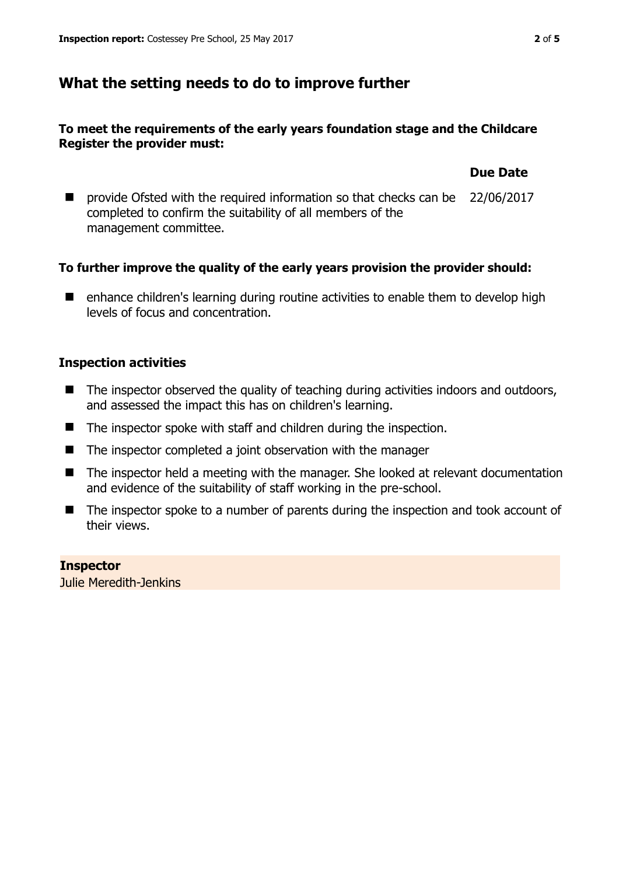## **What the setting needs to do to improve further**

## **To meet the requirements of the early years foundation stage and the Childcare Register the provider must:**

**Due Date**

■ provide Ofsted with the required information so that checks can be 22/06/2017 completed to confirm the suitability of all members of the management committee.

## **To further improve the quality of the early years provision the provider should:**

■ enhance children's learning during routine activities to enable them to develop high levels of focus and concentration.

## **Inspection activities**

- The inspector observed the quality of teaching during activities indoors and outdoors, and assessed the impact this has on children's learning.
- The inspector spoke with staff and children during the inspection.
- $\blacksquare$  The inspector completed a joint observation with the manager
- The inspector held a meeting with the manager. She looked at relevant documentation and evidence of the suitability of staff working in the pre-school.
- The inspector spoke to a number of parents during the inspection and took account of their views.

# **Inspector**

Julie Meredith-Jenkins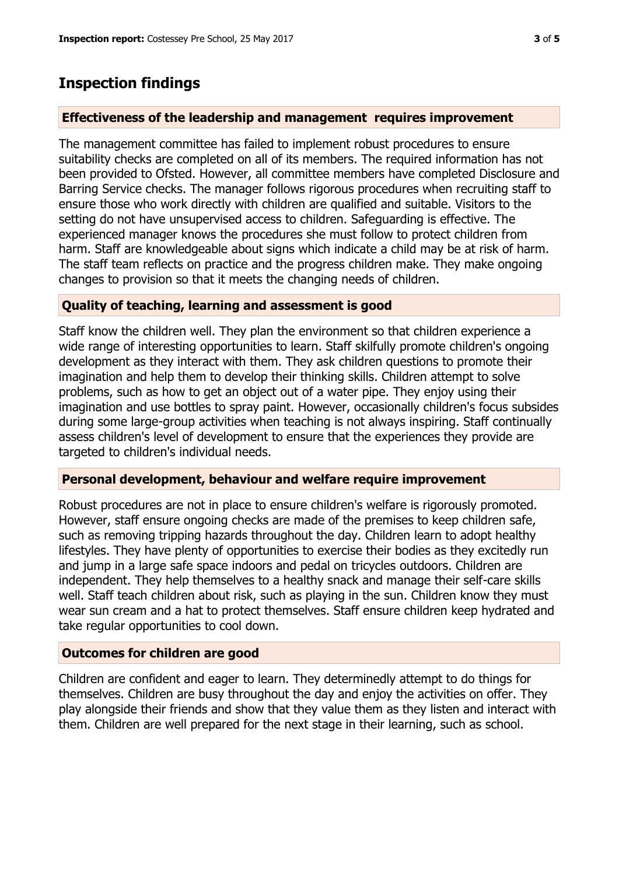## **Inspection findings**

## **Effectiveness of the leadership and management requires improvement**

The management committee has failed to implement robust procedures to ensure suitability checks are completed on all of its members. The required information has not been provided to Ofsted. However, all committee members have completed Disclosure and Barring Service checks. The manager follows rigorous procedures when recruiting staff to ensure those who work directly with children are qualified and suitable. Visitors to the setting do not have unsupervised access to children. Safeguarding is effective. The experienced manager knows the procedures she must follow to protect children from harm. Staff are knowledgeable about signs which indicate a child may be at risk of harm. The staff team reflects on practice and the progress children make. They make ongoing changes to provision so that it meets the changing needs of children.

## **Quality of teaching, learning and assessment is good**

Staff know the children well. They plan the environment so that children experience a wide range of interesting opportunities to learn. Staff skilfully promote children's ongoing development as they interact with them. They ask children questions to promote their imagination and help them to develop their thinking skills. Children attempt to solve problems, such as how to get an object out of a water pipe. They enjoy using their imagination and use bottles to spray paint. However, occasionally children's focus subsides during some large-group activities when teaching is not always inspiring. Staff continually assess children's level of development to ensure that the experiences they provide are targeted to children's individual needs.

## **Personal development, behaviour and welfare require improvement**

Robust procedures are not in place to ensure children's welfare is rigorously promoted. However, staff ensure ongoing checks are made of the premises to keep children safe, such as removing tripping hazards throughout the day. Children learn to adopt healthy lifestyles. They have plenty of opportunities to exercise their bodies as they excitedly run and jump in a large safe space indoors and pedal on tricycles outdoors. Children are independent. They help themselves to a healthy snack and manage their self-care skills well. Staff teach children about risk, such as playing in the sun. Children know they must wear sun cream and a hat to protect themselves. Staff ensure children keep hydrated and take regular opportunities to cool down.

## **Outcomes for children are good**

Children are confident and eager to learn. They determinedly attempt to do things for themselves. Children are busy throughout the day and enjoy the activities on offer. They play alongside their friends and show that they value them as they listen and interact with them. Children are well prepared for the next stage in their learning, such as school.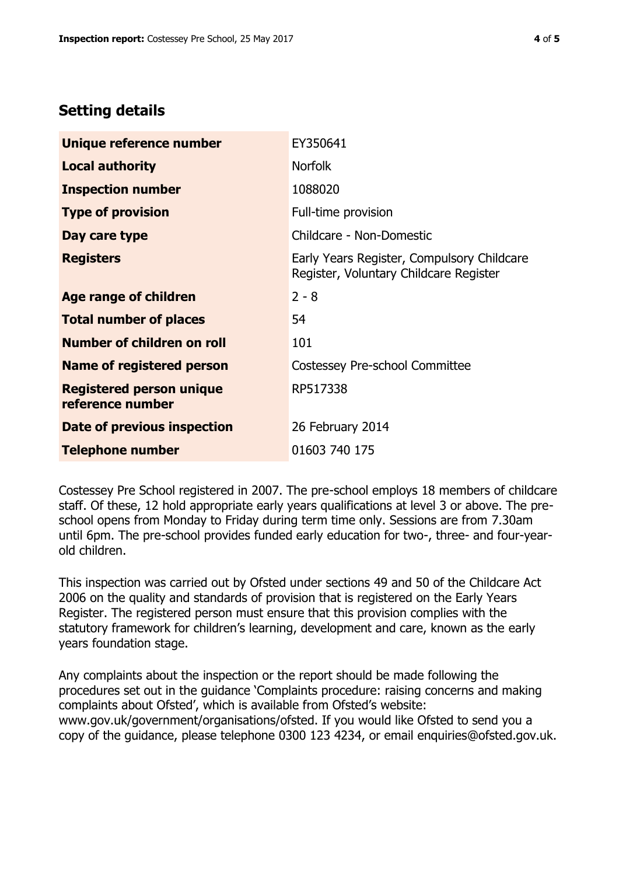# **Setting details**

| Unique reference number                             | EY350641                                                                             |  |
|-----------------------------------------------------|--------------------------------------------------------------------------------------|--|
| <b>Local authority</b>                              | <b>Norfolk</b>                                                                       |  |
| <b>Inspection number</b>                            | 1088020                                                                              |  |
| <b>Type of provision</b>                            | Full-time provision                                                                  |  |
| Day care type                                       | Childcare - Non-Domestic                                                             |  |
| <b>Registers</b>                                    | Early Years Register, Compulsory Childcare<br>Register, Voluntary Childcare Register |  |
| Age range of children                               | $2 - 8$                                                                              |  |
| <b>Total number of places</b>                       | 54                                                                                   |  |
| Number of children on roll                          | 101                                                                                  |  |
| Name of registered person                           | Costessey Pre-school Committee                                                       |  |
| <b>Registered person unique</b><br>reference number | RP517338                                                                             |  |
| <b>Date of previous inspection</b>                  | 26 February 2014                                                                     |  |
| <b>Telephone number</b>                             | 01603 740 175                                                                        |  |

Costessey Pre School registered in 2007. The pre-school employs 18 members of childcare staff. Of these, 12 hold appropriate early years qualifications at level 3 or above. The preschool opens from Monday to Friday during term time only. Sessions are from 7.30am until 6pm. The pre-school provides funded early education for two-, three- and four-yearold children.

This inspection was carried out by Ofsted under sections 49 and 50 of the Childcare Act 2006 on the quality and standards of provision that is registered on the Early Years Register. The registered person must ensure that this provision complies with the statutory framework for children's learning, development and care, known as the early years foundation stage.

Any complaints about the inspection or the report should be made following the procedures set out in the guidance 'Complaints procedure: raising concerns and making complaints about Ofsted', which is available from Ofsted's website: www.gov.uk/government/organisations/ofsted. If you would like Ofsted to send you a copy of the guidance, please telephone 0300 123 4234, or email enquiries@ofsted.gov.uk.